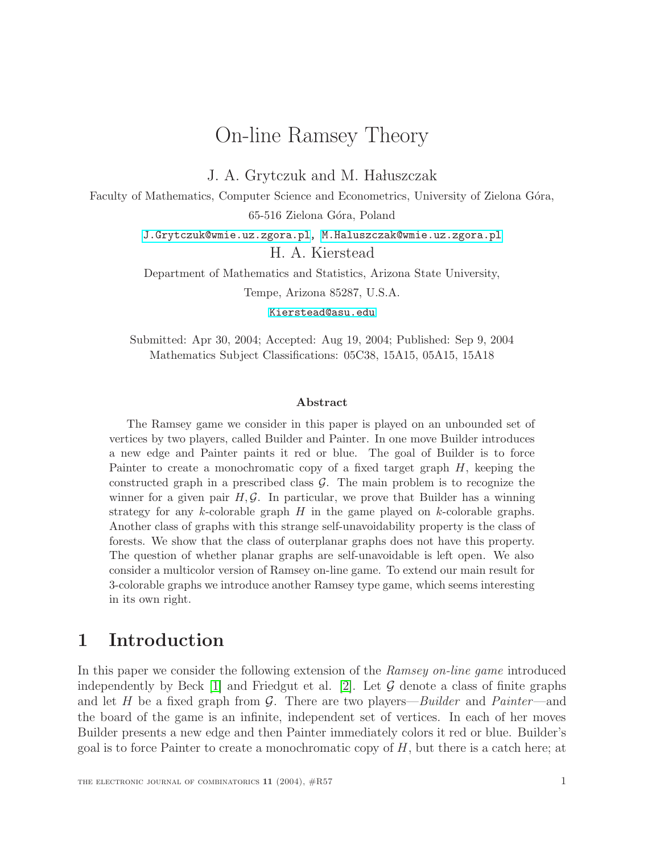# On-line Ramsey Theory

J. A. Grytczuk and M. Hałuszczak

Faculty of Mathematics, Computer Science and Econometrics, University of Zielona Góra,

65-516 Zielona Góra, Poland

[J.Grytczuk@wmie.uz.zgora.pl,](mailto:J.Grytczuk@wmie.uz.zgora.pl) [M.Haluszczak@wmie.uz.zgora.pl](mailto:M.Haluszczak@wmie.uz.zgora.pl) H. A. Kierstead

Department of Mathematics and Statistics, Arizona State University, Tempe, Arizona 85287, U.S.A.

[Kierstead@asu.edu](mailto:Kierstead@asu.edu)

Submitted: Apr 30, 2004; Accepted: Aug 19, 2004; Published: Sep 9, 2004 Mathematics Subject Classifications: 05C38, 15A15, 05A15, 15A18

#### **Abstract**

The Ramsey game we consider in this paper is played on an unbounded set of vertices by two players, called Builder and Painter. In one move Builder introduces a new edge and Painter paints it red or blue. The goal of Builder is to force Painter to create a monochromatic copy of a fixed target graph  $H$ , keeping the constructed graph in a prescribed class  $\mathcal{G}$ . The main problem is to recognize the winner for a given pair  $H, \mathcal{G}$ . In particular, we prove that Builder has a winning strategy for any  $k$ -colorable graph  $H$  in the game played on  $k$ -colorable graphs. Another class of graphs with this strange self-unavoidability property is the class of forests. We show that the class of outerplanar graphs does not have this property. The question of whether planar graphs are self-unavoidable is left open. We also consider a multicolor version of Ramsey on-line game. To extend our main result for 3-colorable graphs we introduce another Ramsey type game, which seems interesting in its own right.

# **1 Introduction**

In this paper we consider the following extension of the Ramsey on-line game introduced independently by Beck  $[1]$  and Friedgut et al.  $[2]$ . Let  $\mathcal G$  denote a class of finite graphs and let H be a fixed graph from  $\mathcal G$ . There are two players—*Builder* and *Painter*—and the board of the game is an infinite, independent set of vertices. In each of her moves Builder presents a new edge and then Painter immediately colors it red or blue. Builder's goal is to force Painter to create a monochromatic copy of  $H$ , but there is a catch here; at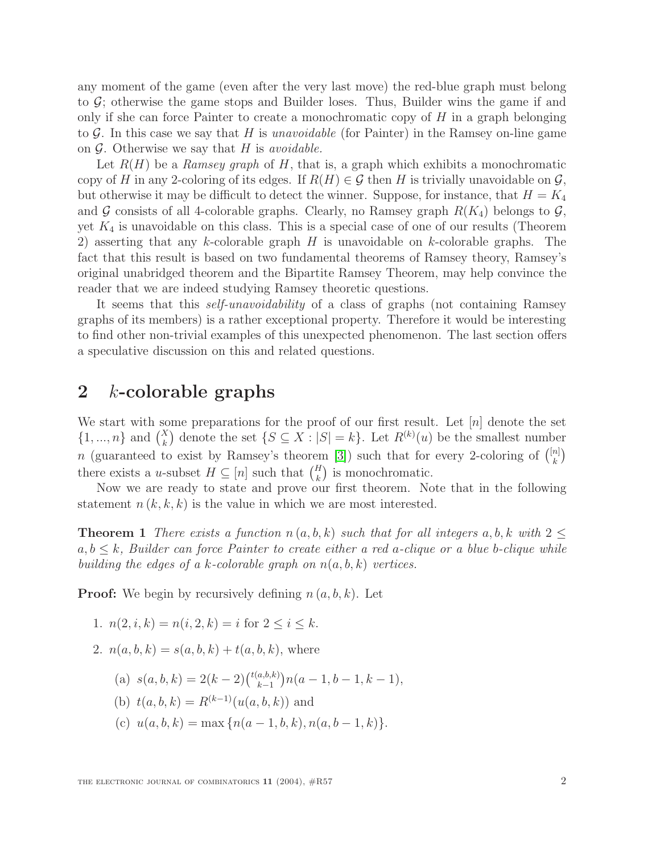any moment of the game (even after the very last move) the red-blue graph must belong to  $\mathcal{G}$ ; otherwise the game stops and Builder loses. Thus, Builder wins the game if and only if she can force Painter to create a monochromatic copy of  $H$  in a graph belonging to  $G$ . In this case we say that H is unavoidable (for Painter) in the Ramsey on-line game on  $\mathcal G$ . Otherwise we say that H is *avoidable*.

Let  $R(H)$  be a Ramsey graph of H, that is, a graph which exhibits a monochromatic copy of H in any 2-coloring of its edges. If  $R(H) \in \mathcal{G}$  then H is trivially unavoidable on  $\mathcal{G}$ , but otherwise it may be difficult to detect the winner. Suppose, for instance, that  $H = K_4$ and G consists of all 4-colorable graphs. Clearly, no Ramsey graph  $R(K_4)$  belongs to  $\mathcal{G}$ , yet  $K_4$  is unavoidable on this class. This is a special case of one of our results (Theorem 2) asserting that any k-colorable graph  $H$  is unavoidable on k-colorable graphs. The fact that this result is based on two fundamental theorems of Ramsey theory, Ramsey's original unabridged theorem and the Bipartite Ramsey Theorem, may help convince the reader that we are indeed studying Ramsey theoretic questions.

It seems that this self-unavoidability of a class of graphs (not containing Ramsey graphs of its members) is a rather exceptional property. Therefore it would be interesting to find other non-trivial examples of this unexpected phenomenon. The last section offers a speculative discussion on this and related questions.

# **2** k**-colorable graphs**

We start with some preparations for the proof of our first result. Let  $[n]$  denote the set  $\{1, ..., n\}$  and  $\binom{X}{k}$  denote the set  $\{S \subseteq X : |S| = k\}$ . Let  $R^{(k)}(u)$  be the smallest number n (guaranteed to exist by Ramsey's theorem [\[3\]](#page-9-2)) such that for every 2-coloring of  $\binom{[n]}{k}$ there exists a u-subset  $H \subseteq [n]$  such that  $\binom{H}{k}$  is monochromatic.

Now we are ready to state and prove our first theorem. Note that in the following statement  $n(k, k, k)$  is the value in which we are most interested.

**Theorem 1** There exists a function  $n(a, b, k)$  such that for all integers a, b, k with  $2 \leq$  $a, b \leq k$ , Builder can force Painter to create either a red a-clique or a blue b-clique while building the edges of a k-colorable graph on  $n(a, b, k)$  vertices.

**Proof:** We begin by recursively defining  $n(a, b, k)$ . Let

- 1.  $n(2, i, k) = n(i, 2, k) = i$  for  $2 \le i \le k$ .
- 2.  $n(a, b, k) = s(a, b, k) + t(a, b, k)$ , where
	- (a)  $s(a, b, k) = 2(k-2) {t(a,b,k) \choose k-1} n(a-1, b-1, k-1),$
	- (b)  $t(a, b, k) = R^{(k-1)}(u(a, b, k))$  and
	- (c)  $u(a, b, k) = \max \{n(a 1, b, k), n(a, b 1, k)\}.$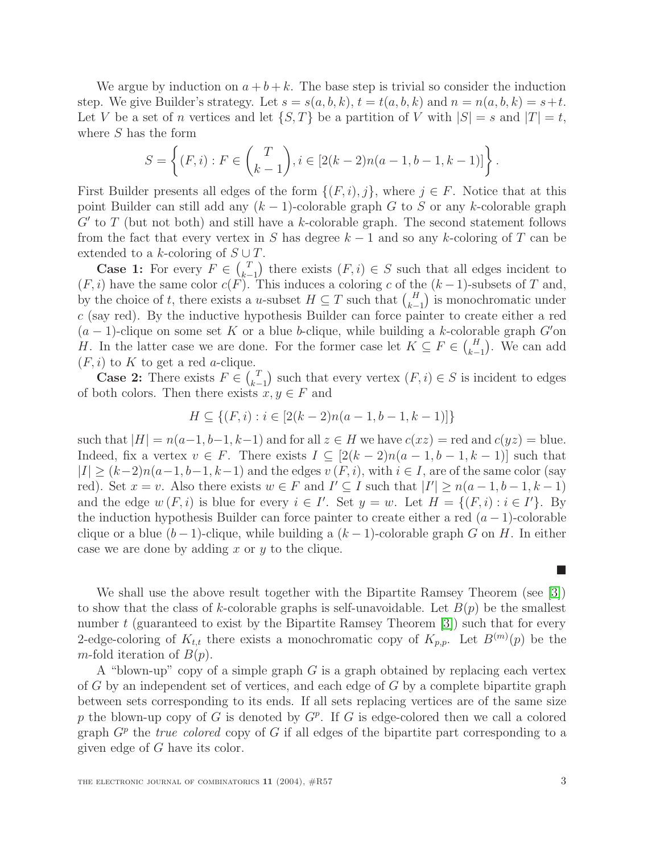We argue by induction on  $a + b + k$ . The base step is trivial so consider the induction step. We give Builder's strategy. Let  $s = s(a, b, k)$ ,  $t = t(a, b, k)$  and  $n = n(a, b, k) = s + t$ . Let V be a set of n vertices and let  $\{S, T\}$  be a partition of V with  $|S| = s$  and  $|T| = t$ , where S has the form

$$
S = \left\{ (F, i) : F \in {T \choose k-1}, i \in [2(k-2)n(a-1, b-1, k-1)] \right\}.
$$

First Builder presents all edges of the form  $\{(F, i), j\}$ , where  $j \in F$ . Notice that at this point Builder can still add any  $(k-1)$ -colorable graph G to S or any k-colorable graph  $G'$  to T (but not both) and still have a k-colorable graph. The second statement follows from the fact that every vertex in S has degree  $k-1$  and so any k-coloring of T can be extended to a k-coloring of  $S \cup T$ .

**Case 1:** For every  $F \in \binom{T}{k-1}$  there exists  $(F, i) \in S$  such that all edges incident to  $(F, i)$  have the same color  $c(F)$ . This induces a coloring c of the  $(k-1)$ -subsets of T and, by the choice of t, there exists a u-subset  $H \subseteq T$  such that  $\binom{H}{k-1}$  is monochromatic under c (say red). By the inductive hypothesis Builder can force painter to create either a red  $(a - 1)$ -clique on some set K or a blue b-clique, while building a k-colorable graph G'on H. In the latter case we are done. For the former case let  $K \subseteq F \in {H \choose k-1}$ . We can add  $(F, i)$  to K to get a red *a*-clique.

**Case 2:** There exists  $F \in {T \choose k-1}$  such that every vertex  $(F, i) \in S$  is incident to edges of both colors. Then there exists  $x, y \in F$  and

$$
H \subseteq \{(F, i) : i \in [2(k-2)n(a-1, b-1, k-1)]\}
$$

such that  $|H| = n(a-1, b-1, k-1)$  and for all  $z \in H$  we have  $c(xz) = \text{red}$  and  $c(yz) = \text{blue}$ . Indeed, fix a vertex  $v \in F$ . There exists  $I \subseteq [2(k-2)n(a-1,b-1,k-1)]$  such that  $|I| \ge (k-2)n(a-1, b-1, k-1)$  and the edges  $v(F, i)$ , with  $i \in I$ , are of the same color (say red). Set  $x = v$ . Also there exists  $w \in F$  and  $I' \subseteq I$  such that  $|I'| \geq n(a-1,b-1,k-1)$ and the edge  $w(F, i)$  is blue for every  $i \in I'$ . Set  $y = w$ . Let  $H = \{(F, i) : i \in I'\}$ . By the induction hypothesis Builder can force painter to create either a red  $(a - 1)$ -colorable clique or a blue  $(b-1)$ -clique, while building a  $(k-1)$ -colorable graph G on H. In either case we are done by adding  $x$  or  $y$  to the clique.

We shall use the above result together with the Bipartite Ramsey Theorem (see [\[3\]](#page-9-2)) to show that the class of k-colorable graphs is self-unavoidable. Let  $B(p)$  be the smallest number  $t$  (guaranteed to exist by the Bipartite Ramsey Theorem  $\lbrack 3\rbrack$ ) such that for every 2-edge-coloring of  $K_{t,t}$  there exists a monochromatic copy of  $K_{p,p}$ . Let  $B^{(m)}(p)$  be the m-fold iteration of  $B(p)$ .

A "blown-up" copy of a simple graph  $G$  is a graph obtained by replacing each vertex of  $G$  by an independent set of vertices, and each edge of  $G$  by a complete bipartite graph between sets corresponding to its ends. If all sets replacing vertices are of the same size p the blown-up copy of G is denoted by  $G^p$ . If G is edge-colored then we call a colored graph  $G<sup>p</sup>$  the true colored copy of G if all edges of the bipartite part corresponding to a given edge of G have its color.

ш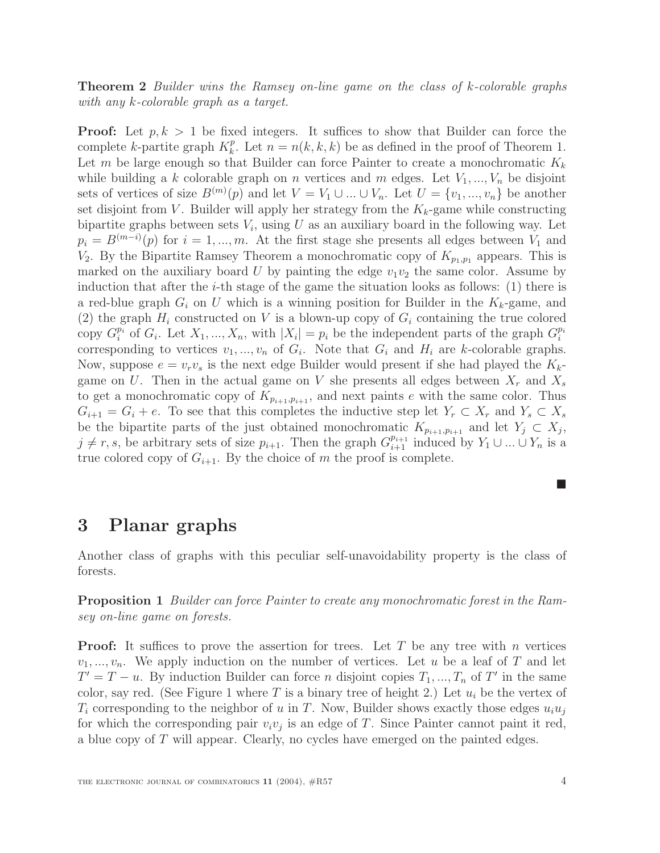**Theorem 2** Builder wins the Ramsey on-line game on the class of k-colorable graphs with any k-colorable graph as a target.

**Proof:** Let  $p, k > 1$  be fixed integers. It suffices to show that Builder can force the complete k-partite graph  $K_k^p$ . Let  $n = n(k, k, k)$  be as defined in the proof of Theorem 1. Let m be large enough so that Builder can force Painter to create a monochromatic  $K_k$ while building a k colorable graph on n vertices and m edges. Let  $V_1, ..., V_n$  be disjoint sets of vertices of size  $B^{(m)}(p)$  and let  $V = V_1 \cup ... \cup V_n$ . Let  $U = \{v_1, ..., v_n\}$  be another set disjoint from V. Builder will apply her strategy from the  $K_k$ -game while constructing bipartite graphs between sets  $V_i$ , using U as an auxiliary board in the following way. Let  $p_i = B^{(m-i)}(p)$  for  $i = 1, ..., m$ . At the first stage she presents all edges between  $V_1$  and  $V_2$ . By the Bipartite Ramsey Theorem a monochromatic copy of  $K_{p_1,p_1}$  appears. This is marked on the auxiliary board U by painting the edge  $v_1v_2$  the same color. Assume by induction that after the *i*-th stage of the game the situation looks as follows:  $(1)$  there is a red-blue graph  $G_i$  on U which is a winning position for Builder in the  $K_k$ -game, and (2) the graph  $H_i$  constructed on V is a blown-up copy of  $G_i$  containing the true colored copy  $G_i^{p_i}$  of  $G_i$ . Let  $X_1, ..., X_n$ , with  $|X_i| = p_i$  be the independent parts of the graph  $G_i^{p_i}$ corresponding to vertices  $v_1, ..., v_n$  of  $G_i$ . Note that  $G_i$  and  $H_i$  are k-colorable graphs. Now, suppose  $e = v_r v_s$  is the next edge Builder would present if she had played the  $K_k$ game on U. Then in the actual game on V she presents all edges between  $X_r$  and  $X_s$ to get a monochromatic copy of  $K_{p_{i+1},p_{i+1}}$ , and next paints e with the same color. Thus  $G_{i+1} = G_i + e$ . To see that this completes the inductive step let  $Y_r \subset X_r$  and  $Y_s \subset X_s$ be the bipartite parts of the just obtained monochromatic  $K_{p_{i+1},p_{i+1}}$  and let  $Y_j \subset X_j$ ,  $j \neq r, s$ , be arbitrary sets of size  $p_{i+1}$ . Then the graph  $G_{i+1}^{p_{i+1}}$  induced by  $Y_1 \cup ... \cup Y_n$  is a true colored copy of  $G_{i+1}$ . By the choice of m the proof is complete.

### **3 Planar graphs**

Another class of graphs with this peculiar self-unavoidability property is the class of forests.

**Proposition 1** Builder can force Painter to create any monochromatic forest in the Ramsey on-line game on forests.

**Proof:** It suffices to prove the assertion for trees. Let T be any tree with n vertices  $v_1, \ldots, v_n$ . We apply induction on the number of vertices. Let u be a leaf of T and let  $T' = T - u$ . By induction Builder can force n disjoint copies  $T_1, ..., T_n$  of T' in the same color, say red. (See Figure 1 where T is a binary tree of height 2.) Let  $u_i$  be the vertex of  $T_i$  corresponding to the neighbor of u in T. Now, Builder shows exactly those edges  $u_i u_j$ for which the corresponding pair  $v_i v_j$  is an edge of T. Since Painter cannot paint it red, a blue copy of T will appear. Clearly, no cycles have emerged on the painted edges.

**The Second Service**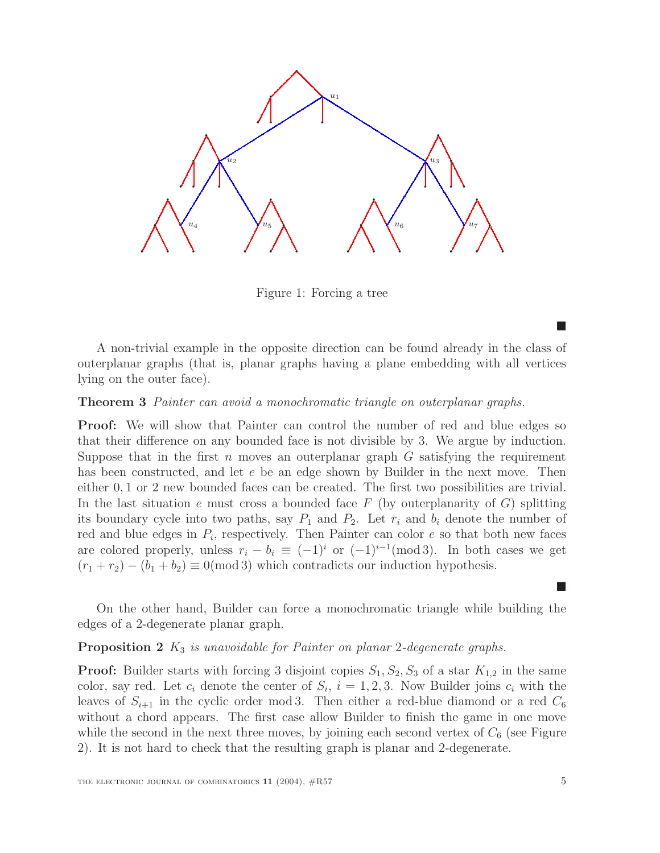

Figure 1: Forcing a tree

A non-trivial example in the opposite direction can be found already in the class of outerplanar graphs (that is, planar graphs having a plane embedding with all vertices lying on the outer face).

#### **Theorem 3** Painter can avoid a monochromatic triangle on outerplanar graphs.

**Proof:** We will show that Painter can control the number of red and blue edges so that their difference on any bounded face is not divisible by 3. We argue by induction. Suppose that in the first n moves an outerplanar graph  $G$  satisfying the requirement has been constructed, and let e be an edge shown by Builder in the next move. Then either 0, 1 or 2 new bounded faces can be created. The first two possibilities are trivial. In the last situation e must cross a bounded face  $F$  (by outerplanarity of  $G$ ) splitting its boundary cycle into two paths, say  $P_1$  and  $P_2$ . Let  $r_i$  and  $b_i$  denote the number of red and blue edges in  $P_i$ , respectively. Then Painter can color  $e$  so that both new faces are colored properly, unless  $r_i - b_i \equiv (-1)^i$  or  $(-1)^{i-1} \pmod{3}$ . In both cases we get  $(r_1 + r_2) - (b_1 + b_2) \equiv 0 \pmod{3}$  which contradicts our induction hypothesis.

On the other hand, Builder can force a monochromatic triangle while building the edges of a 2-degenerate planar graph.

# **Proposition 2**  $K_3$  *is unavoidable for Painter on planar 2-degenerate graphs.*

**Proof:** Builder starts with forcing 3 disjoint copies  $S_1$ ,  $S_2$ ,  $S_3$  of a star  $K_{1,2}$  in the same color, say red. Let  $c_i$  denote the center of  $S_i$ ,  $i = 1, 2, 3$ . Now Builder joins  $c_i$  with the leaves of  $S_{i+1}$  in the cyclic order mod 3. Then either a red-blue diamond or a red  $C_6$ without a chord appears. The first case allow Builder to finish the game in one move while the second in the next three moves, by joining each second vertex of  $C_6$  (see Figure 2). It is not hard to check that the resulting graph is planar and 2-degenerate.

**The Second Service** 

**Tale**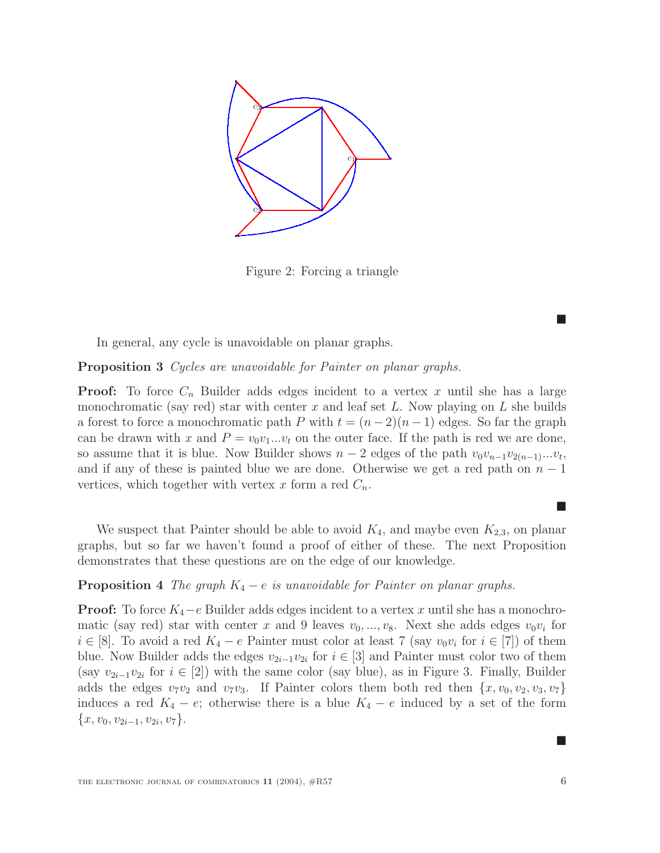

Figure 2: Forcing a triangle

In general, any cycle is unavoidable on planar graphs.

**Proposition 3** Cycles are unavoidable for Painter on planar graphs.

**Proof:** To force  $C_n$  Builder adds edges incident to a vertex x until she has a large monochromatic (say red) star with center x and leaf set L. Now playing on L she builds a forest to force a monochromatic path P with  $t = (n-2)(n-1)$  edges. So far the graph can be drawn with x and  $P = v_0v_1...v_t$  on the outer face. If the path is red we are done, so assume that it is blue. Now Builder shows  $n-2$  edges of the path  $v_0v_{n-1}v_{2(n-1)}...v_t$ , and if any of these is painted blue we are done. Otherwise we get a red path on  $n-1$ vertices, which together with vertex x form a red  $C_n$ .

We suspect that Painter should be able to avoid  $K_4$ , and maybe even  $K_{2,3}$ , on planar graphs, but so far we haven't found a proof of either of these. The next Proposition demonstrates that these questions are on the edge of our knowledge.

#### **Proposition 4** The graph  $K_4 - e$  is unavoidable for Painter on planar graphs.

**Proof:** To force  $K_4-e$  Builder adds edges incident to a vertex x until she has a monochromatic (say red) star with center x and 9 leaves  $v_0, ..., v_8$ . Next she adds edges  $v_0v_i$  for  $i \in [8]$ . To avoid a red  $K_4 - e$  Painter must color at least 7 (say  $v_0v_i$  for  $i \in [7]$ ) of them blue. Now Builder adds the edges  $v_{2i-1}v_{2i}$  for  $i \in [3]$  and Painter must color two of them (say  $v_{2i-1}v_{2i}$  for  $i \in [2]$ ) with the same color (say blue), as in Figure 3. Finally, Builder adds the edges  $v_7v_2$  and  $v_7v_3$ . If Painter colors them both red then  $\{x, v_0, v_2, v_3, v_7\}$ induces a red  $K_4 - e$ ; otherwise there is a blue  $K_4 - e$  induced by a set of the form  $\{x, v_0, v_{2i-1}, v_{2i}, v_7\}.$ 

ш

**STAR** 

 $\blacksquare$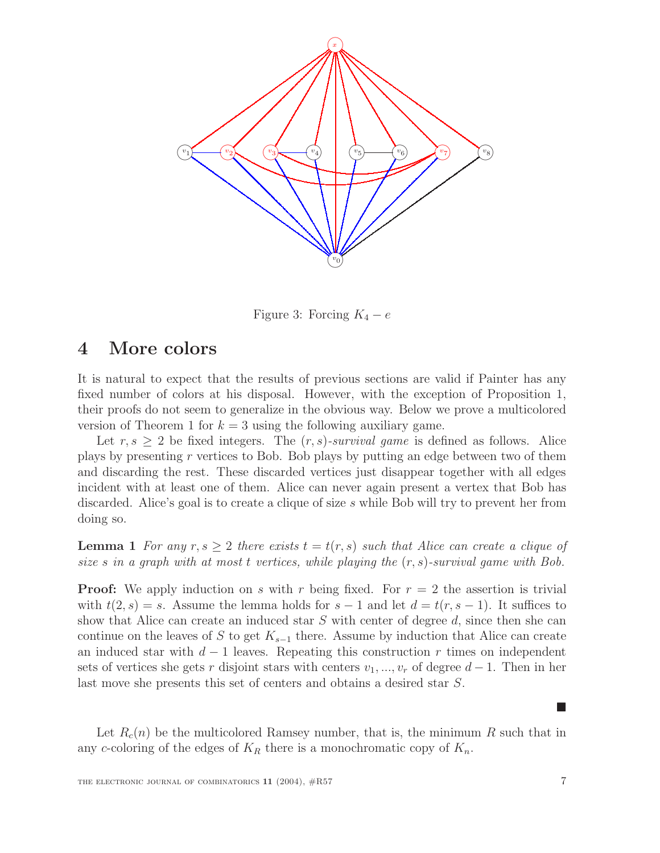

Figure 3: Forcing  $K_4 - e$ 

### **4 More colors**

It is natural to expect that the results of previous sections are valid if Painter has any fixed number of colors at his disposal. However, with the exception of Proposition 1, their proofs do not seem to generalize in the obvious way. Below we prove a multicolored version of Theorem 1 for  $k = 3$  using the following auxiliary game.

Let  $r, s \geq 2$  be fixed integers. The  $(r, s)$ -survival game is defined as follows. Alice plays by presenting r vertices to Bob. Bob plays by putting an edge between two of them and discarding the rest. These discarded vertices just disappear together with all edges incident with at least one of them. Alice can never again present a vertex that Bob has discarded. Alice's goal is to create a clique of size s while Bob will try to prevent her from doing so.

**Lemma 1** For any  $r, s > 2$  there exists  $t = t(r, s)$  such that Alice can create a clique of size s in a graph with at most t vertices, while playing the  $(r, s)$ -survival game with Bob.

**Proof:** We apply induction on s with r being fixed. For  $r = 2$  the assertion is trivial with  $t(2, s) = s$ . Assume the lemma holds for  $s - 1$  and let  $d = t(r, s - 1)$ . It suffices to show that Alice can create an induced star  $S$  with center of degree  $d$ , since then she can continue on the leaves of S to get  $K_{s-1}$  there. Assume by induction that Alice can create an induced star with  $d-1$  leaves. Repeating this construction r times on independent sets of vertices she gets r disjoint stars with centers  $v_1, ..., v_r$  of degree  $d-1$ . Then in her last move she presents this set of centers and obtains a desired star S.

Let  $R_c(n)$  be the multicolored Ramsey number, that is, the minimum R such that in any c-coloring of the edges of  $K_R$  there is a monochromatic copy of  $K_n$ .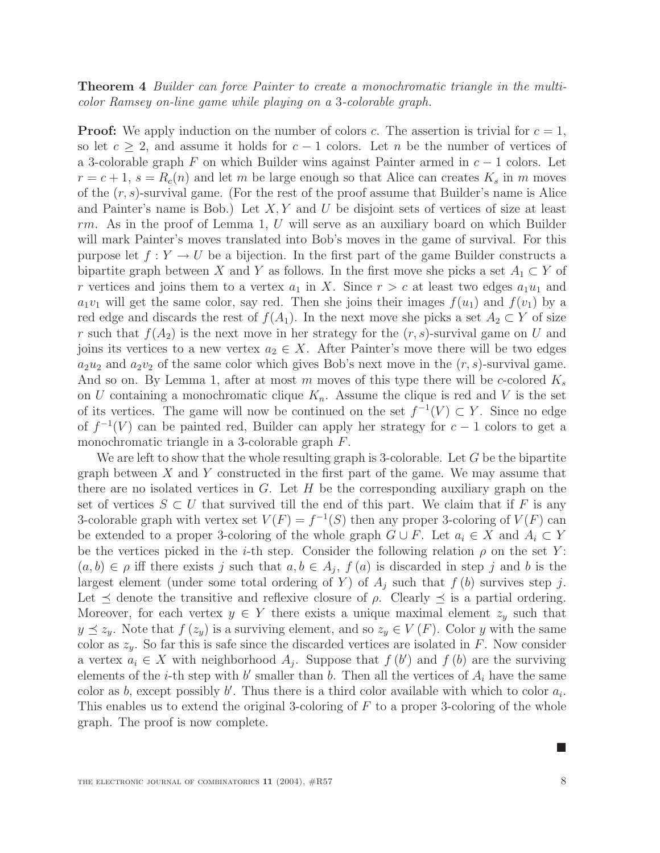### **Theorem 4** Builder can force Painter to create a monochromatic triangle in the multicolor Ramsey on-line game while playing on a 3-colorable graph.

**Proof:** We apply induction on the number of colors c. The assertion is trivial for  $c = 1$ , so let  $c \geq 2$ , and assume it holds for  $c - 1$  colors. Let n be the number of vertices of a 3-colorable graph F on which Builder wins against Painter armed in  $c - 1$  colors. Let  $r = c + 1$ ,  $s = R_c(n)$  and let m be large enough so that Alice can creates  $K_s$  in m moves of the  $(r, s)$ -survival game. (For the rest of the proof assume that Builder's name is Alice and Painter's name is Bob.) Let  $X, Y$  and U be disjoint sets of vertices of size at least rm. As in the proof of Lemma 1, U will serve as an auxiliary board on which Builder will mark Painter's moves translated into Bob's moves in the game of survival. For this purpose let  $f: Y \to U$  be a bijection. In the first part of the game Builder constructs a bipartite graph between X and Y as follows. In the first move she picks a set  $A_1 \subset Y$  of r vertices and joins them to a vertex  $a_1$  in X. Since  $r>c$  at least two edges  $a_1u_1$  and  $a_1v_1$  will get the same color, say red. Then she joins their images  $f(u_1)$  and  $f(v_1)$  by a red edge and discards the rest of  $f(A_1)$ . In the next move she picks a set  $A_2 \subset Y$  of size r such that  $f(A_2)$  is the next move in her strategy for the  $(r, s)$ -survival game on U and joins its vertices to a new vertex  $a_2 \in X$ . After Painter's move there will be two edges  $a_2u_2$  and  $a_2v_2$  of the same color which gives Bob's next move in the  $(r, s)$ -survival game. And so on. By Lemma 1, after at most m moves of this type there will be c-colored  $K_s$ on U containing a monochromatic clique  $K_n$ . Assume the clique is red and V is the set of its vertices. The game will now be continued on the set  $f^{-1}(V) \subset Y$ . Since no edge of  $f^{-1}(V)$  can be painted red, Builder can apply her strategy for  $c-1$  colors to get a monochromatic triangle in a 3-colorable graph F.

We are left to show that the whole resulting graph is 3-colorable. Let  $G$  be the bipartite graph between  $X$  and  $Y$  constructed in the first part of the game. We may assume that there are no isolated vertices in  $G$ . Let  $H$  be the corresponding auxiliary graph on the set of vertices  $S \subset U$  that survived till the end of this part. We claim that if F is any 3-colorable graph with vertex set  $V(F) = f^{-1}(S)$  then any proper 3-coloring of  $V(F)$  can be extended to a proper 3-coloring of the whole graph  $G \cup F$ . Let  $a_i \in X$  and  $A_i \subset Y$ be the vertices picked in the *i*-th step. Consider the following relation  $\rho$  on the set Y:  $(a, b) \in \rho$  iff there exists j such that  $a, b \in A_j$ ,  $f(a)$  is discarded in step j and b is the largest element (under some total ordering of Y) of  $A_i$  such that  $f(b)$  survives step j. Let  $\preceq$  denote the transitive and reflexive closure of  $\rho$ . Clearly  $\preceq$  is a partial ordering. Moreover, for each vertex  $y \in Y$  there exists a unique maximal element  $z_y$  such that  $y \preceq z_y$ . Note that  $f(z_y)$  is a surviving element, and so  $z_y \in V(F)$ . Color y with the same color as  $z_y$ . So far this is safe since the discarded vertices are isolated in F. Now consider a vertex  $a_i \in X$  with neighborhood  $A_j$ . Suppose that  $f(b')$  and  $f(b)$  are the surviving elements of the *i*-th step with b' smaller than b. Then all the vertices of  $A_i$  have the same color as b, except possibly b'. Thus there is a third color available with which to color  $a_i$ . This enables us to extend the original 3-coloring of F to a proper 3-coloring of the whole graph. The proof is now complete.

**Tale**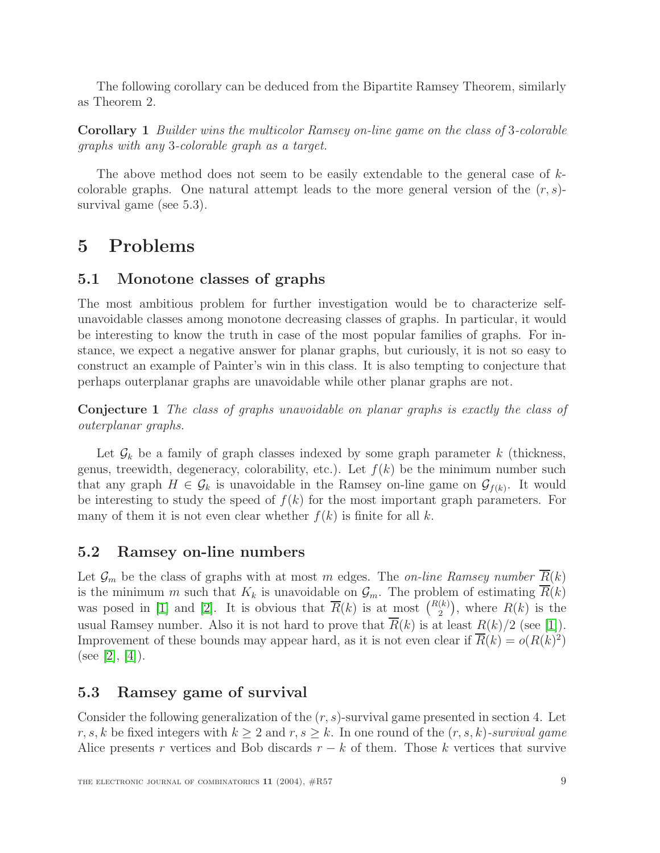The following corollary can be deduced from the Bipartite Ramsey Theorem, similarly as Theorem 2.

**Corollary 1** Builder wins the multicolor Ramsey on-line game on the class of 3-colorable graphs with any 3-colorable graph as a target.

The above method does not seem to be easily extendable to the general case of  $k$ colorable graphs. One natural attempt leads to the more general version of the  $(r, s)$ survival game (see 5.3).

# **5 Problems**

### **5.1 Monotone classes of graphs**

The most ambitious problem for further investigation would be to characterize selfunavoidable classes among monotone decreasing classes of graphs. In particular, it would be interesting to know the truth in case of the most popular families of graphs. For instance, we expect a negative answer for planar graphs, but curiously, it is not so easy to construct an example of Painter's win in this class. It is also tempting to conjecture that perhaps outerplanar graphs are unavoidable while other planar graphs are not.

**Conjecture 1** The class of graphs unavoidable on planar graphs is exactly the class of outerplanar graphs.

Let  $\mathcal{G}_k$  be a family of graph classes indexed by some graph parameter k (thickness, genus, treewidth, degeneracy, colorability, etc.). Let  $f(k)$  be the minimum number such that any graph  $H \in \mathcal{G}_k$  is unavoidable in the Ramsey on-line game on  $\mathcal{G}_{f(k)}$ . It would be interesting to study the speed of  $f(k)$  for the most important graph parameters. For many of them it is not even clear whether  $f(k)$  is finite for all k.

### **5.2 Ramsey on-line numbers**

Let  $\mathcal{G}_m$  be the class of graphs with at most m edges. The on-line Ramsey number  $\overline{R}(k)$ is the minimum m such that  $K_k$  is unavoidable on  $\mathcal{G}_m$ . The problem of estimating  $\overline{R}(k)$ was posed in [\[1\]](#page-9-0) and [\[2\]](#page-9-1). It is obvious that  $\overline{R}(k)$  is at most  $\binom{R(k)}{2}$ , where  $R(k)$  is the usual Ramsey number. Also it is not hard to prove that  $\overline{R}(k)$  is at least  $R(k)/2$  (see [\[1\]](#page-9-0)). Improvement of these bounds may appear hard, as it is not even clear if  $\overline{R}(k) = o(R(k)^2)$ (see [\[2\]](#page-9-1), [\[4\]](#page-9-3)).

### **5.3 Ramsey game of survival**

Consider the following generalization of the  $(r, s)$ -survival game presented in section 4. Let r, s, k be fixed integers with  $k \geq 2$  and  $r, s \geq k$ . In one round of the  $(r, s, k)$ -survival game Alice presents r vertices and Bob discards  $r - k$  of them. Those k vertices that survive